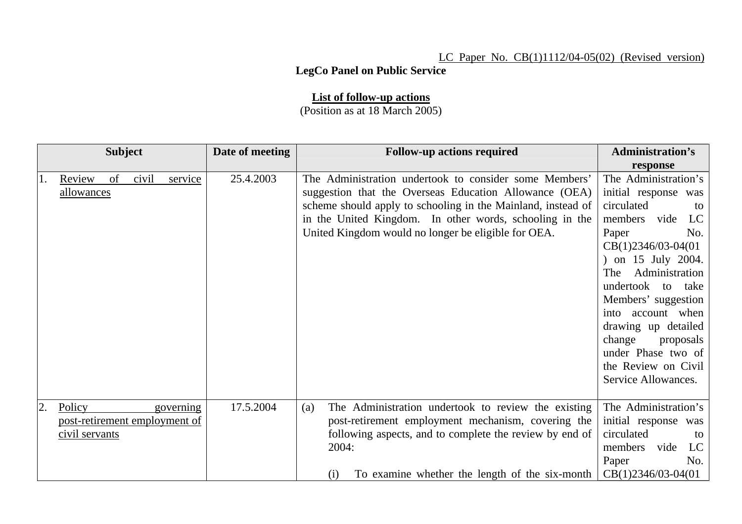## LC Paper No. CB(1)1112/04-05(02) (Revised version)

## **LegCo Panel on Public Service**

## **List of follow-up actions**

(Position as at 18 March 2005)

| <b>Subject</b> |                                                           |    |       | Date of meeting | <b>Follow-up actions required</b> | <b>Administration's</b>                                                                                                                                                                                                                                                                            |                                                                                                                                                                                                                                                                                                                                                                   |
|----------------|-----------------------------------------------------------|----|-------|-----------------|-----------------------------------|----------------------------------------------------------------------------------------------------------------------------------------------------------------------------------------------------------------------------------------------------------------------------------------------------|-------------------------------------------------------------------------------------------------------------------------------------------------------------------------------------------------------------------------------------------------------------------------------------------------------------------------------------------------------------------|
|                |                                                           |    |       |                 |                                   |                                                                                                                                                                                                                                                                                                    | response                                                                                                                                                                                                                                                                                                                                                          |
| 1.             | Review<br><u>allowances</u>                               | of | civil | service         | 25.4.2003                         | The Administration undertook to consider some Members'<br>suggestion that the Overseas Education Allowance (OEA)<br>scheme should apply to schooling in the Mainland, instead of<br>in the United Kingdom. In other words, schooling in the<br>United Kingdom would no longer be eligible for OEA. | The Administration's<br>initial response was<br>circulated<br>to<br>members vide<br>LC<br>Paper<br>No.<br>$CB(1)2346/03-04(01)$<br>) on 15 July 2004.<br>Administration<br>The<br>undertook to take<br>Members' suggestion<br>into account when<br>drawing up detailed<br>change<br>proposals<br>under Phase two of<br>the Review on Civil<br>Service Allowances. |
| 2.             | Policy<br>post-retirement employment of<br>civil servants |    |       | governing       | 17.5.2004                         | The Administration undertook to review the existing<br>(a)<br>post-retirement employment mechanism, covering the<br>following aspects, and to complete the review by end of<br>2004:<br>To examine whether the length of the six-month<br>(i)                                                      | The Administration's<br>initial response was<br>circulated<br>to<br>members<br>vide<br>$_{\rm LC}$<br>Paper<br>No.<br>$CB(1)2346/03-04(01)$                                                                                                                                                                                                                       |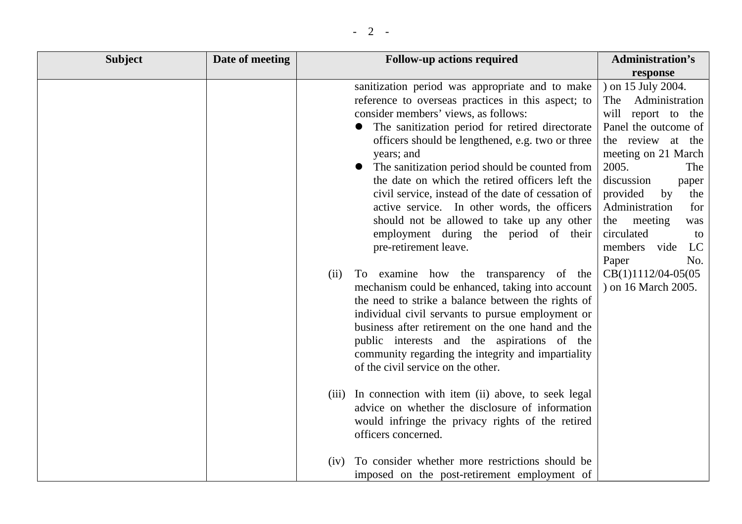| <b>Subject</b> | Date of meeting |      | <b>Follow-up actions required</b>                                                                                                                                                                                                                                                                                                                                                                                                                                                                                                                                                             | <b>Administration's</b>                                                                                                                                                                                                                                                                                        |
|----------------|-----------------|------|-----------------------------------------------------------------------------------------------------------------------------------------------------------------------------------------------------------------------------------------------------------------------------------------------------------------------------------------------------------------------------------------------------------------------------------------------------------------------------------------------------------------------------------------------------------------------------------------------|----------------------------------------------------------------------------------------------------------------------------------------------------------------------------------------------------------------------------------------------------------------------------------------------------------------|
|                |                 |      |                                                                                                                                                                                                                                                                                                                                                                                                                                                                                                                                                                                               | response                                                                                                                                                                                                                                                                                                       |
|                |                 |      | sanitization period was appropriate and to make<br>reference to overseas practices in this aspect; to<br>consider members' views, as follows:<br>The sanitization period for retired directorate<br>officers should be lengthened, e.g. two or three<br>years; and<br>The sanitization period should be counted from<br>the date on which the retired officers left the<br>civil service, instead of the date of cessation of<br>active service. In other words, the officers<br>should not be allowed to take up any other<br>employment during the period of their<br>pre-retirement leave. | ) on 15 July 2004.<br>Administration<br>The<br>will report to the<br>Panel the outcome of<br>the review at the<br>meeting on 21 March<br>2005.<br>The<br>discussion<br>paper<br>provided<br>by<br>the<br>Administration<br>for<br>the meeting<br>was<br>circulated<br>to<br>LC<br>members vide<br>Paper<br>No. |
|                |                 | (ii) | To examine how the transparency of the<br>mechanism could be enhanced, taking into account<br>the need to strike a balance between the rights of<br>individual civil servants to pursue employment or<br>business after retirement on the one hand and the<br>public interests and the aspirations of the<br>community regarding the integrity and impartiality<br>of the civil service on the other.                                                                                                                                                                                         | CB(1)1112/04-05(05<br>) on 16 March 2005.                                                                                                                                                                                                                                                                      |
|                |                 |      | (iii) In connection with item (ii) above, to seek legal<br>advice on whether the disclosure of information<br>would infringe the privacy rights of the retired<br>officers concerned.                                                                                                                                                                                                                                                                                                                                                                                                         |                                                                                                                                                                                                                                                                                                                |
|                |                 | (iv) | To consider whether more restrictions should be<br>imposed on the post-retirement employment of                                                                                                                                                                                                                                                                                                                                                                                                                                                                                               |                                                                                                                                                                                                                                                                                                                |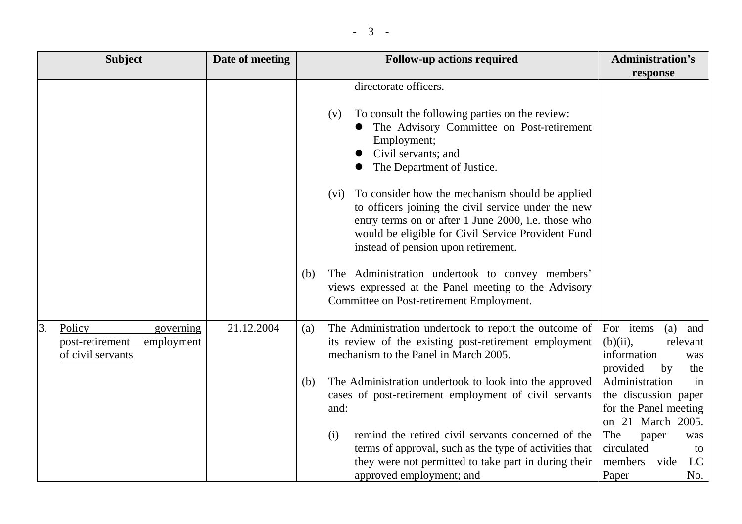|  | $\overline{\phantom{0}}$ |  |
|--|--------------------------|--|
|--|--------------------------|--|

|    | <b>Subject</b>                                                            | Date of meeting | <b>Follow-up actions required</b>                                                                                                                                                                                                                                  | <b>Administration's</b>                                                                           |
|----|---------------------------------------------------------------------------|-----------------|--------------------------------------------------------------------------------------------------------------------------------------------------------------------------------------------------------------------------------------------------------------------|---------------------------------------------------------------------------------------------------|
|    |                                                                           |                 |                                                                                                                                                                                                                                                                    | response                                                                                          |
|    |                                                                           |                 | directorate officers.<br>To consult the following parties on the review:<br>(v)<br>The Advisory Committee on Post-retirement                                                                                                                                       |                                                                                                   |
|    |                                                                           |                 | Employment;<br>Civil servants; and<br>The Department of Justice.                                                                                                                                                                                                   |                                                                                                   |
|    |                                                                           |                 | To consider how the mechanism should be applied<br>(vi)<br>to officers joining the civil service under the new<br>entry terms on or after 1 June 2000, i.e. those who<br>would be eligible for Civil Service Provident Fund<br>instead of pension upon retirement. |                                                                                                   |
|    |                                                                           |                 | The Administration undertook to convey members'<br>(b)<br>views expressed at the Panel meeting to the Advisory<br>Committee on Post-retirement Employment.                                                                                                         |                                                                                                   |
| 3. | Policy<br>governing<br>post-retirement<br>employment<br>of civil servants | 21.12.2004      | The Administration undertook to report the outcome of<br>(a)<br>its review of the existing post-retirement employment<br>mechanism to the Panel in March 2005.                                                                                                     | For items<br>(a)<br>and<br>$(b)(ii)$ ,<br>relevant<br>information<br>was<br>provided<br>by<br>the |
|    |                                                                           |                 | The Administration undertook to look into the approved<br>(b)<br>cases of post-retirement employment of civil servants<br>and:                                                                                                                                     | Administration<br>in<br>the discussion paper<br>for the Panel meeting<br>on 21 March 2005.        |
|    |                                                                           |                 | remind the retired civil servants concerned of the<br>(i)<br>terms of approval, such as the type of activities that<br>they were not permitted to take part in during their<br>approved employment; and                                                            | The<br>paper<br>was<br>circulated<br>to<br>members<br>vide<br>LC<br>Paper<br>No.                  |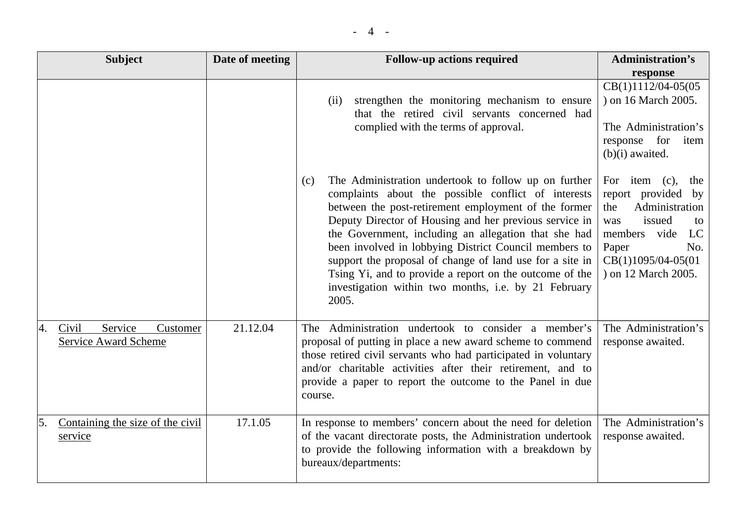|--|--|

| <b>Subject</b>                                             | Date of meeting | <b>Follow-up actions required</b>                                                                                                                                                                                                                                                                                                                                                                                                                                                                                                             | <b>Administration's</b>                                                                                                                                                          |
|------------------------------------------------------------|-----------------|-----------------------------------------------------------------------------------------------------------------------------------------------------------------------------------------------------------------------------------------------------------------------------------------------------------------------------------------------------------------------------------------------------------------------------------------------------------------------------------------------------------------------------------------------|----------------------------------------------------------------------------------------------------------------------------------------------------------------------------------|
|                                                            |                 |                                                                                                                                                                                                                                                                                                                                                                                                                                                                                                                                               | response                                                                                                                                                                         |
|                                                            |                 | strengthen the monitoring mechanism to ensure<br>(ii)<br>that the retired civil servants concerned had<br>complied with the terms of approval.                                                                                                                                                                                                                                                                                                                                                                                                | CB(1)1112/04-05(05<br>) on 16 March 2005.<br>The Administration's<br>response for<br>item<br>$(b)(i)$ awaited.                                                                   |
|                                                            |                 | The Administration undertook to follow up on further<br>(c)<br>complaints about the possible conflict of interests<br>between the post-retirement employment of the former<br>Deputy Director of Housing and her previous service in<br>the Government, including an allegation that she had<br>been involved in lobbying District Council members to<br>support the proposal of change of land use for a site in<br>Tsing Yi, and to provide a report on the outcome of the<br>investigation within two months, i.e. by 21 February<br>2005. | For item $(c)$ ,<br>the<br>report provided by<br>Administration<br>the<br>issued<br>was<br>to<br>LC<br>members vide<br>Paper<br>No.<br>CB(1)1095/04-05(01<br>) on 12 March 2005. |
| Service<br>Civil<br>Customer<br>4.<br>Service Award Scheme | 21.12.04        | The Administration undertook to consider a member's<br>proposal of putting in place a new award scheme to commend<br>those retired civil servants who had participated in voluntary<br>and/or charitable activities after their retirement, and to<br>provide a paper to report the outcome to the Panel in due<br>course.                                                                                                                                                                                                                    | The Administration's<br>response awaited.                                                                                                                                        |
| Containing the size of the civil<br>5.<br>service          | 17.1.05         | In response to members' concern about the need for deletion<br>of the vacant directorate posts, the Administration undertook<br>to provide the following information with a breakdown by<br>bureaux/departments:                                                                                                                                                                                                                                                                                                                              | The Administration's<br>response awaited.                                                                                                                                        |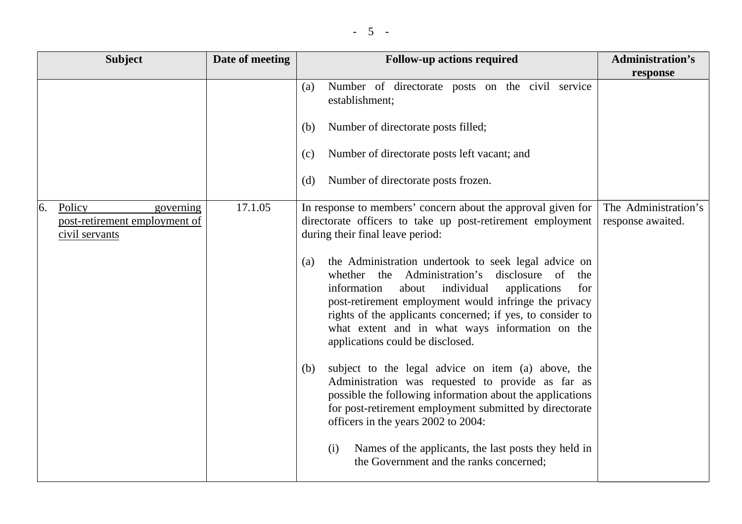| <b>Subject</b>                                                               | Date of meeting | <b>Follow-up actions required</b>                                                                                                                                                                                                                                                                                                                                                                                                                                                                                                                                                                                                                                                                                                                                                                                                                                                                                                                     | <b>Administration's</b>                   |
|------------------------------------------------------------------------------|-----------------|-------------------------------------------------------------------------------------------------------------------------------------------------------------------------------------------------------------------------------------------------------------------------------------------------------------------------------------------------------------------------------------------------------------------------------------------------------------------------------------------------------------------------------------------------------------------------------------------------------------------------------------------------------------------------------------------------------------------------------------------------------------------------------------------------------------------------------------------------------------------------------------------------------------------------------------------------------|-------------------------------------------|
|                                                                              |                 | Number of directorate posts on the civil service<br>(a)<br>establishment;<br>Number of directorate posts filled;<br>(b)<br>Number of directorate posts left vacant; and<br>(c)<br>Number of directorate posts frozen.<br>(d)                                                                                                                                                                                                                                                                                                                                                                                                                                                                                                                                                                                                                                                                                                                          | response                                  |
| 6.<br>Policy<br>governing<br>post-retirement employment of<br>civil servants | 17.1.05         | In response to members' concern about the approval given for<br>directorate officers to take up post-retirement employment<br>during their final leave period:<br>the Administration undertook to seek legal advice on<br>(a)<br>whether the Administration's disclosure of the<br>information<br>individual<br>applications<br>for<br>about<br>post-retirement employment would infringe the privacy<br>rights of the applicants concerned; if yes, to consider to<br>what extent and in what ways information on the<br>applications could be disclosed.<br>subject to the legal advice on item (a) above, the<br>(b)<br>Administration was requested to provide as far as<br>possible the following information about the applications<br>for post-retirement employment submitted by directorate<br>officers in the years 2002 to 2004:<br>Names of the applicants, the last posts they held in<br>(i)<br>the Government and the ranks concerned; | The Administration's<br>response awaited. |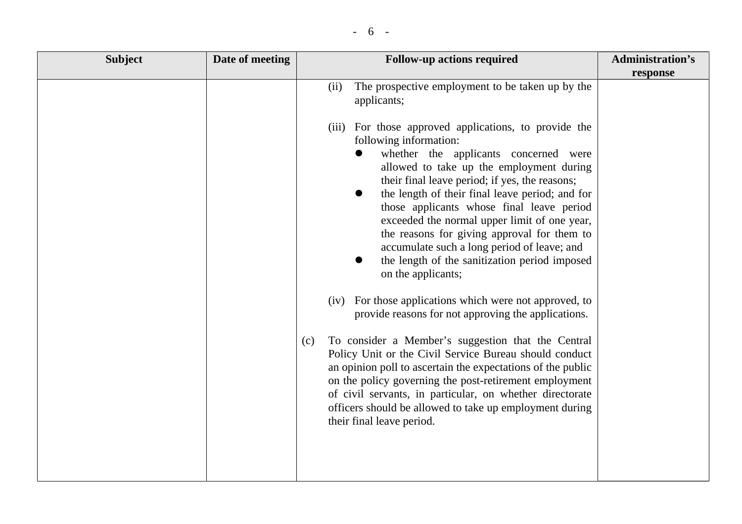|  | $\overline{\phantom{a}}$ |  |
|--|--------------------------|--|
|--|--------------------------|--|

| <b>Subject</b> | Date of meeting | <b>Follow-up actions required</b>                                                                                                                                                                                                                                                                                                                                                                                                                                                                                                                                                                                                                                                                                                                                                                                                                                                                                                                                                                                                                                                 | <b>Administration's</b> |
|----------------|-----------------|-----------------------------------------------------------------------------------------------------------------------------------------------------------------------------------------------------------------------------------------------------------------------------------------------------------------------------------------------------------------------------------------------------------------------------------------------------------------------------------------------------------------------------------------------------------------------------------------------------------------------------------------------------------------------------------------------------------------------------------------------------------------------------------------------------------------------------------------------------------------------------------------------------------------------------------------------------------------------------------------------------------------------------------------------------------------------------------|-------------------------|
|                |                 |                                                                                                                                                                                                                                                                                                                                                                                                                                                                                                                                                                                                                                                                                                                                                                                                                                                                                                                                                                                                                                                                                   | response                |
|                |                 | The prospective employment to be taken up by the<br>(ii)<br>applicants;                                                                                                                                                                                                                                                                                                                                                                                                                                                                                                                                                                                                                                                                                                                                                                                                                                                                                                                                                                                                           |                         |
|                |                 | (iii) For those approved applications, to provide the<br>following information:<br>whether the applicants concerned were<br>$\bullet$<br>allowed to take up the employment during<br>their final leave period; if yes, the reasons;<br>the length of their final leave period; and for<br>those applicants whose final leave period<br>exceeded the normal upper limit of one year,<br>the reasons for giving approval for them to<br>accumulate such a long period of leave; and<br>the length of the sanitization period imposed<br>on the applicants;<br>For those applications which were not approved, to<br>(iv)<br>provide reasons for not approving the applications.<br>To consider a Member's suggestion that the Central<br>(c)<br>Policy Unit or the Civil Service Bureau should conduct<br>an opinion poll to ascertain the expectations of the public<br>on the policy governing the post-retirement employment<br>of civil servants, in particular, on whether directorate<br>officers should be allowed to take up employment during<br>their final leave period. |                         |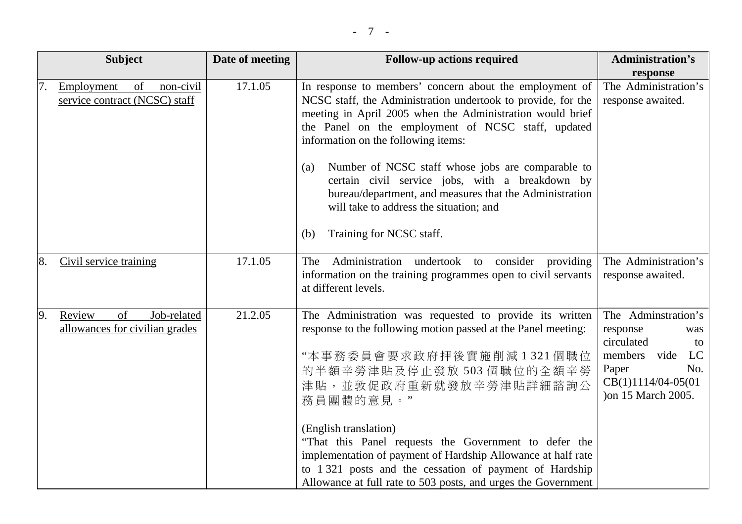|     | <b>Subject</b>                                                 | Date of meeting | <b>Follow-up actions required</b>                                                                                                                                                                                                                                                                                                                                                                                                                                                                                                         | <b>Administration's</b>                                                                                                                          |
|-----|----------------------------------------------------------------|-----------------|-------------------------------------------------------------------------------------------------------------------------------------------------------------------------------------------------------------------------------------------------------------------------------------------------------------------------------------------------------------------------------------------------------------------------------------------------------------------------------------------------------------------------------------------|--------------------------------------------------------------------------------------------------------------------------------------------------|
| 17. | of<br>Employment<br>non-civil<br>service contract (NCSC) staff | 17.1.05         | In response to members' concern about the employment of<br>NCSC staff, the Administration undertook to provide, for the<br>meeting in April 2005 when the Administration would brief<br>the Panel on the employment of NCSC staff, updated<br>information on the following items:<br>Number of NCSC staff whose jobs are comparable to<br>(a)<br>certain civil service jobs, with a breakdown by<br>bureau/department, and measures that the Administration<br>will take to address the situation; and<br>Training for NCSC staff.<br>(b) | response<br>The Administration's<br>response awaited.                                                                                            |
| 8.  | Civil service training                                         | 17.1.05         | The<br>Administration undertook to consider providing<br>information on the training programmes open to civil servants<br>at different levels.                                                                                                                                                                                                                                                                                                                                                                                            | The Administration's<br>response awaited.                                                                                                        |
| 9.  | Review<br>Job-related<br>of<br>allowances for civilian grades  | 21.2.05         | The Administration was requested to provide its written<br>response to the following motion passed at the Panel meeting:<br>"本事務委員會要求政府押後實施削減1321個職位<br>的半額辛勞津貼及停止發放 503 個職位的全額辛勞<br>津貼,並敦促政府重新就發放辛勞津貼詳細諮詢公<br>務員團體的意見。"<br>(English translation)<br>"That this Panel requests the Government to defer the<br>implementation of payment of Hardship Allowance at half rate<br>to 1 321 posts and the cessation of payment of Hardship<br>Allowance at full rate to 503 posts, and urges the Government                                    | The Adminstration's<br>response<br>was<br>circulated<br>to<br>members vide<br>LC<br>Paper<br>No.<br>$CB(1)1114/04-05(01)$<br>) on 15 March 2005. |